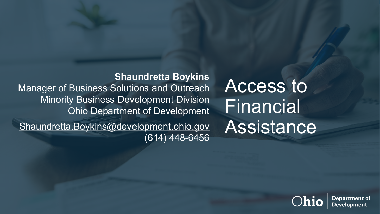**Shaundretta Boykins** Manager of Business Solutions and Outreach Minority Business Development Division Ohio Department of Development [Shaundretta.Boykins@development.ohio.gov](mailto:Shaundretta.Boykins@development.ohio.gov) (614) 448-6456

Access to Financial Assistance



**Department of Development**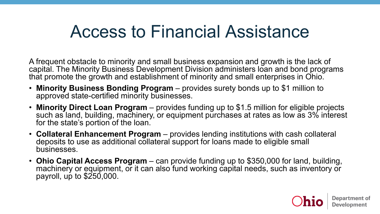### Access to Financial Assistance

A frequent obstacle to minority and small business expansion and growth is the lack of capital. The Minority Business Development Division administers loan and bond programs that promote the growth and establishment of minority and small enterprises in Ohio.

- **Minority Business Bonding Program**  provides surety bonds up to \$1 million to approved state-certified minority businesses.
- **Minority Direct Loan Program**  provides funding up to \$1.5 million for eligible projects such as land, building, machinery, or equipment purchases at rates as low as 3% interest for the state's portion of the loan.
- **Collateral Enhancement Program**  provides lending institutions with cash collateral deposits to use as additional collateral support for loans made to eligible small businesses.
- **Ohio Capital Access Program**  can provide funding up to \$350,000 for land, building, machinery or equipment, or it can also fund working capital needs, such as inventory or payroll, up to \$250,000.

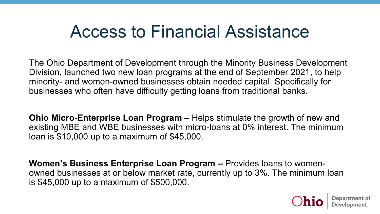### Access to Financial Assistance

The Ohio Department of Development through the Minority Business Development Division, launched two new loan programs at the end of September 2021, to help minority- and women-owned businesses obtain needed capital. Specifically for businesses who often have difficulty getting loans from traditional banks.

**Ohio Micro-Enterprise Loan Program –** Helps stimulate the growth of new and existing MBE and WBE businesses with micro-loans at 0% interest. The minimum loan is \$10,000 up to a maximum of \$45,000.

**Women's Business Enterprise Loan Program –** Provides loans to womenowned businesses at or below market rate, currently up to 3%. The minimum loan is \$45,000 up to a maximum of \$500,000.

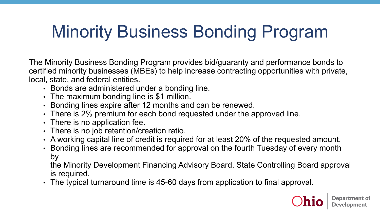# Minority Business Bonding Program

The Minority Business Bonding Program provides bid/guaranty and performance bonds to certified minority businesses (MBEs) to help increase contracting opportunities with private, local, state, and federal entities.

- Bonds are administered under a bonding line.
- The maximum bonding line is \$1 million.
- Bonding lines expire after 12 months and can be renewed.
- There is 2% premium for each bond requested under the approved line.
- There is no application fee.
- There is no job retention/creation ratio.
- A working capital line of credit is required for at least 20% of the requested amount.
- Bonding lines are recommended for approval on the fourth Tuesday of every month by

the Minority Development Financing Advisory Board. State Controlling Board approval is required.

• The typical turnaround time is 45-60 days from application to final approval.

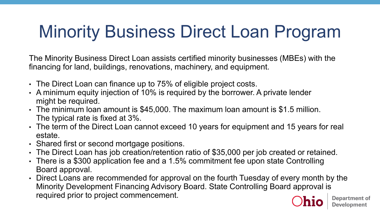# Minority Business Direct Loan Program

The Minority Business Direct Loan assists certified minority businesses (MBEs) with the financing for land, buildings, renovations, machinery, and equipment.

- The Direct Loan can finance up to 75% of eligible project costs.
- A minimum equity injection of 10% is required by the borrower. A private lender might be required.
- The minimum loan amount is \$45,000. The maximum loan amount is \$1.5 million. The typical rate is fixed at 3%.
- The term of the Direct Loan cannot exceed 10 years for equipment and 15 years for real estate.
- Shared first or second mortgage positions.
- The Direct Loan has job creation/retention ratio of \$35,000 per job created or retained.
- There is a \$300 application fee and a 1.5% commitment fee upon state Controlling Board approval.
- Direct Loans are recommended for approval on the fourth Tuesday of every month by the Minority Development Financing Advisory Board. State Controlling Board approval is required prior to project commencement.

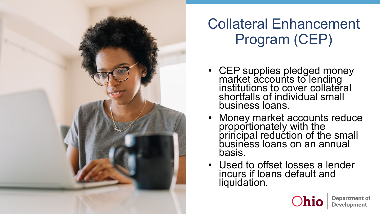

### Collateral Enhancement Program (CEP)

- CEP supplies pledged money market accounts to lending institutions to cover collateral shortfalls of individual small business loans.
- Money market accounts reduce proportionately with the principal reduction of the small business loans on an annual basis.
- Used to offset losses a lender incurs if loans default and liquidation.

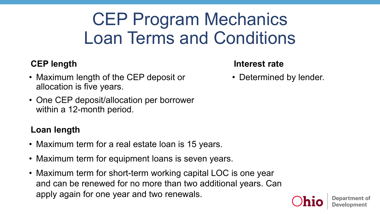## CEP Program Mechanics Loan Terms and Conditions

#### **CEP length**

- Maximum length of the CEP deposit or allocation is five years.
- One CEP deposit/allocation per borrower within a 12-month period.

#### **Loan length**

- Maximum term for a real estate loan is 15 years.
- Maximum term for equipment loans is seven years.
- Maximum term for short-term working capital LOC is one year and can be renewed for no more than two additional years. Can apply again for one year and two renewals.

#### **Interest rate**

• Determined by lender.

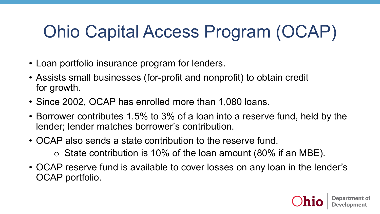## Ohio Capital Access Program (OCAP)

- Loan portfolio insurance program for lenders.
- Assists small businesses (for-profit and nonprofit) to obtain credit for growth.
- Since 2002, OCAP has enrolled more than 1,080 loans.
- Borrower contributes 1.5% to 3% of a loan into a reserve fund, held by the lender; lender matches borrower's contribution.
- OCAP also sends a state contribution to the reserve fund.
	- $\circ$  State contribution is 10% of the loan amount (80% if an MBE).
- OCAP reserve fund is available to cover losses on any loan in the lender's OCAP portfolio.

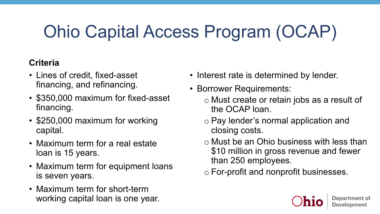# Ohio Capital Access Program (OCAP)

#### **Criteria**

- Lines of credit, fixed-asset financing, and refinancing.
- \$350,000 maximum for fixed-asset financing.
- \$250,000 maximum for working capital.
- Maximum term for a real estate loan is 15 years.
- Maximum term for equipment loans is seven years.
- Maximum term for short-term working capital loan is one year.
- Interest rate is determined by lender.
- Borrower Requirements:
	- o Must create or retain jobs as a result of the OCAP loan.
	- o Pay lender's normal application and closing costs.
	- o Must be an Ohio business with less than \$10 million in gross revenue and fewer than 250 employees.
	- o For-profit and nonprofit businesses.

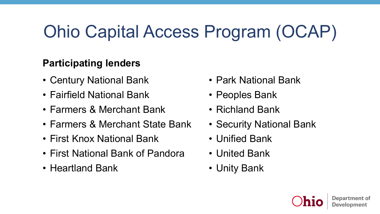# Ohio Capital Access Program (OCAP)

#### **Participating lenders**

- Century National Bank
- Fairfield National Bank
- Farmers & Merchant Bank
- Farmers & Merchant State Bank
- First Knox National Bank
- First National Bank of Pandora
- Heartland Bank
- Park National Bank
- Peoples Bank
- Richland Bank
- Security National Bank
- Unified Bank
- United Bank
- Unity Bank

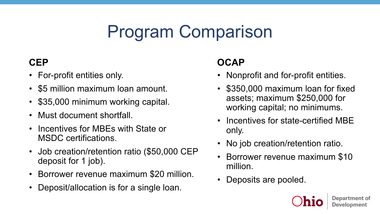## Program Comparison

#### **CEP**

- For-profit entities only.
- \$5 million maximum loan amount.
- \$35,000 minimum working capital.
- Must document shortfall.
- Incentives for MBEs with State or MSDC certifications.
- Job creation/retention ratio (\$50,000 CEP deposit for 1 job).
- Borrower revenue maximum \$20 million.
- Deposit/allocation is for a single loan.

#### **OCAP**

- Nonprofit and for-profit entities.
- \$350,000 maximum loan for fixed assets; maximum \$250,000 for working capital; no minimums.
- Incentives for state-certified MBE only.
- No job creation/retention ratio.
- Borrower revenue maximum \$10 million.
- Deposits are pooled.

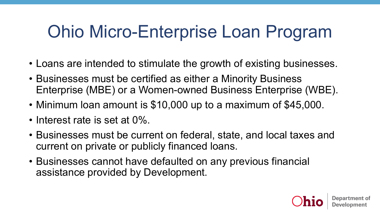### Ohio Micro-Enterprise Loan Program

- Loans are intended to stimulate the growth of existing businesses.
- Businesses must be certified as either a Minority Business Enterprise (MBE) or a Women-owned Business Enterprise (WBE).
- Minimum loan amount is \$10,000 up to a maximum of \$45,000.
- Interest rate is set at 0%.
- Businesses must be current on federal, state, and local taxes and current on private or publicly financed loans.
- Businesses cannot have defaulted on any previous financial assistance provided by Development.

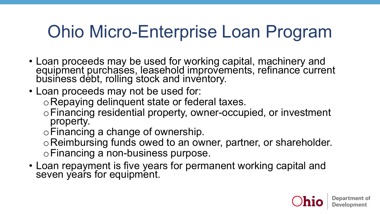### Ohio Micro-Enterprise Loan Program

- Loan proceeds may be used for working capital, machinery and equipment purchases, leasehold improvements, refinance current business debt, rolling stock and inventory.
- Loan proceeds may not be used for:

oRepaying delinquent state or federal taxes.

<sup>o</sup>Financing residential property, owner-occupied, or investment property.

oFinancing a change of ownership.

oReimbursing funds owed to an owner, partner, or shareholder. oFinancing a non-business purpose.

• Loan repayment is five years for permanent working capital and seven years for equipment.

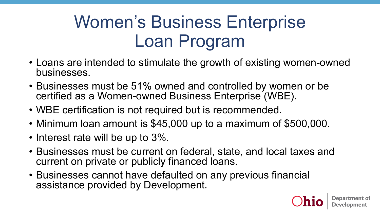## Women's Business Enterprise Loan Program

- Loans are intended to stimulate the growth of existing women-owned businesses.
- Businesses must be 51% owned and controlled by women or be certified as a Women-owned Business Enterprise (WBE).
- WBE certification is not required but is recommended.
- Minimum loan amount is \$45,000 up to a maximum of \$500,000.
- Interest rate will be up to 3%.
- Businesses must be current on federal, state, and local taxes and current on private or publicly financed loans.
- Businesses cannot have defaulted on any previous financial assistance provided by Development.

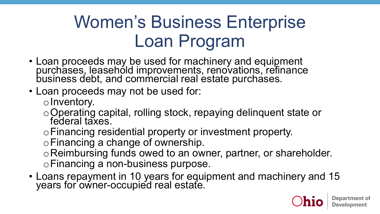## Women's Business Enterprise Loan Program

- Loan proceeds may be used for machinery and equipment purchases, leasehold improvements, renovations, refinance business debt, and commercial real estate purchases.
- Loan proceeds may not be used for:

oInventory.

- o Operating capital, rolling stock, repaying delinquent state or federal taxes.
- oFinancing residential property or investment property.

oFinancing a change of ownership.

oReimbursing funds owed to an owner, partner, or shareholder. oFinancing a non-business purpose.

• Loans repayment in 10 years for equipment and machinery and 15 years for owner-occupied real estate.